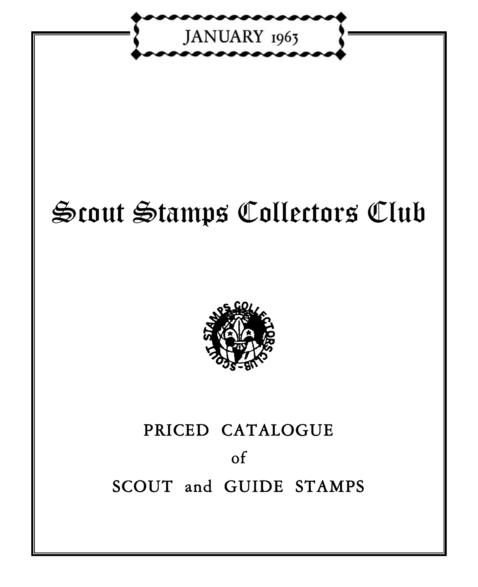

# Scout Stamps Collectors Club



# PRICED CATALOGUE of<br>SCOUT and GUIDE STAMPS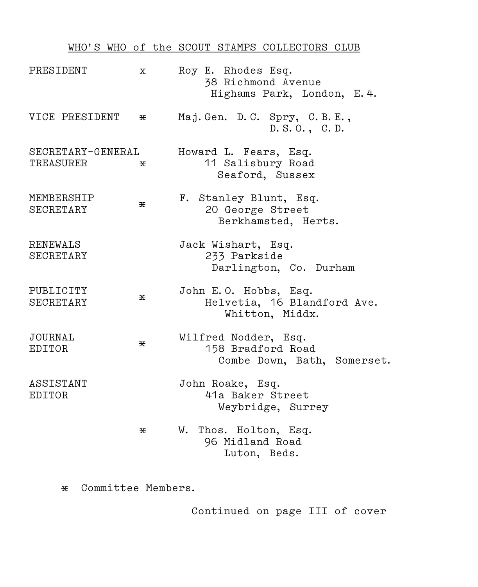# WHO'S WHO of the SCOUT STAMPS COLLECTORS CLUB

| PRESIDENT                      | х | Roy E. Rhodes Esq.<br>38 Richmond Avenue<br>Highams Park, London, E. 4.  |
|--------------------------------|---|--------------------------------------------------------------------------|
| VICE PRESIDENT                 | х | Maj. Gen. D.C. Spry, C.B.E.,<br>D. S.O., C.D.                            |
| SECRETARY-GENERAL<br>TREASURER | х | Howard L. Fears, Esq.<br>11 Salisbury Road<br>Seaford, Sussex            |
| MEMBERSHIP<br>SECRETARY        | X | F. Stanley Blunt, Esq.<br>20 George Street<br>Berkhamsted, Herts.        |
| RENEWALS<br>SECRETARY          |   | Jack Wishart, Esq.<br>233 Parkside<br>Darlington, Co. Durham             |
| PUBLICITY<br>SECRETARY         | 폿 | John E.O. Hobbs, Esq.<br>Helvetia, 16 Blandford Ave.<br>Whitton, Middx.  |
| JOURNAL<br>EDITOR              | 폿 | Wilfred Nodder, Esq.<br>158 Bradford Road<br>Combe Down, Bath, Somerset. |
| ASSISTANT<br>EDITOR            |   | John Roake, Esq.<br>41a Baker Street<br>Weybridge, Surrey                |
|                                | х | W. Thos. Holton, Esq.<br>96 Midland Road<br>Luton, Beds.                 |

x Committee Members.

Continued on page III of cover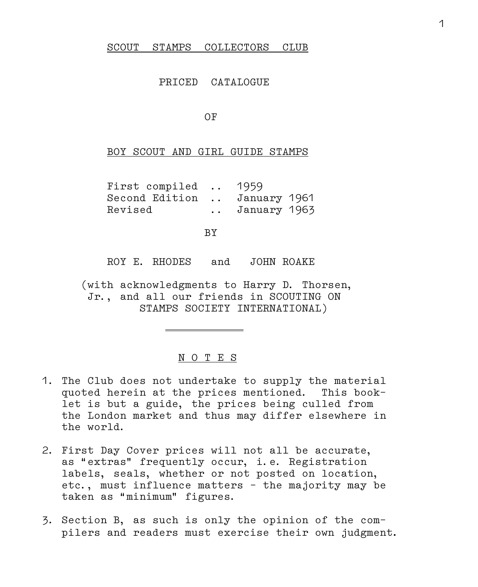#### SCOUT STAMPS COLLECTORS CLUB

#### PRICED CATALOGUE

OF

BOY SCOUT AND GIRL GUIDE STAMPS

| First compiled               |                 | 1959         |
|------------------------------|-----------------|--------------|
| Second Edition  January 1961 |                 |              |
| Revised                      | $\cdot$ $\cdot$ | January 1963 |

BY

ROY E. RHODES and JOHN ROAKE

 (with acknowledgments to Harry D. Thorsen, Jr., and all our friends in SCOUTING ON STAMPS SOCIETY INTERNATIONAL)

#### N O T E S

. .

- 1. The Club does not undertake to supply the material quoted herein at the prices mentioned. This book– let is but a guide, the prices being culled from the London market and thus may differ elsewhere in the world.
- 2. First Day Cover prices will not all be accurate, as "extras" frequently occur, i.e. Registration labels, seals, whether or not posted on location, etc., must influence matters – the majority may be taken as "minimum" figures.
- 3. Section B, as such is only the opinion of the com– pilers and readers must exercise their own judgment.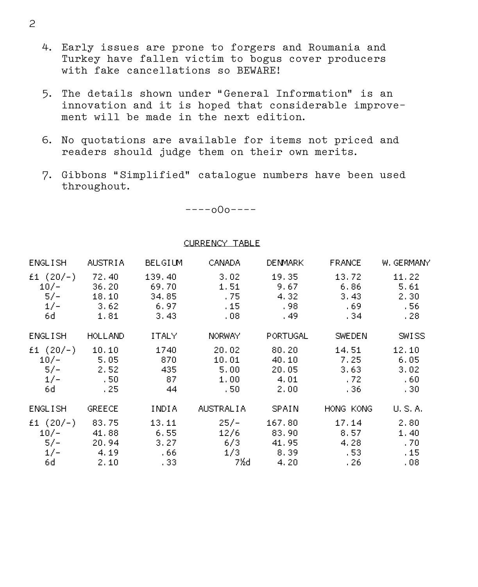- 4. Early issues are prone to forgers and Roumania and Turkey have fallen victim to bogus cover producers with fake cancellations so BEWARE!
- 5. The details shown under "General Information" is an innovation and it is hoped that considerable improve– ment will be made in the next edition.
- 6. No quotations are available for items not priced and readers should judge them on their own merits.
- 7. Gibbons "Simplified" catalogue numbers have been used throughout.

––––o0o––––

#### CURRENCY TABLE

| <b>ENGLISH</b>                                | AUSTRIA                                       | BELGIUM                                   | <b>CANADA</b>                                               | <b>DENMARK</b>                              | <b>FRANCE</b>                          | W. GERMANY                            |
|-----------------------------------------------|-----------------------------------------------|-------------------------------------------|-------------------------------------------------------------|---------------------------------------------|----------------------------------------|---------------------------------------|
| £1 $(20/-)$<br>$10/-$<br>$5/-$<br>$1/-$<br>6d | $-72.40$<br>36.20<br>18.10<br>3,62<br>1.81    | 139.40<br>69.70<br>34.85<br>6.97<br>3,43  | 3.02<br>1.51<br>.75 <sub>1</sub><br>.15 <sub>1</sub><br>.08 | 19.35<br>9.67<br>4.32<br>., 98.<br>. 49.    | 13.72<br>6.86<br>3,43<br>- 69<br>. 34. | 11.22<br>5.61<br>2,30<br>. 56<br>. 28 |
| <b>ENGLISH</b>                                | <b>HOLLAND</b>                                | <b>ITALY</b>                              | <b>NORWAY</b>                                               | PORTUGAL                                    | SWEDEN                                 | SMISS                                 |
| £1 $(20/-)$<br>$10/-$<br>$5/-$<br>$1/-$<br>6d | 10, 10<br>5.05<br>-2.52<br>$\sim$ 50<br>$-25$ | 1740<br>-870<br>435<br>- 87<br>44         | 20.02<br>10.01<br>5.00<br>1,00<br>- . 50                    | 80.20<br>40.10<br>20.05<br>$-4, 01$<br>2,00 | 14.51<br>7.25<br>3.63<br>$-72$<br>- 36 | 12.10<br>6.05<br>3,02<br>.60<br>- 30  |
| <b>ENGLISH</b>                                | <b>GREECE</b>                                 | INDIA                                     | <b>AUSTRALIA</b>                                            | <b>SPAIN</b>                                | HONG KONG                              | U.S.A.                                |
| £1 $(20/-)$<br>$10/-$<br>$5/-$<br>$1/-$<br>6d | 83.75<br>41,88<br>20.94<br>4.19<br>2, 10      | 13.11<br>6.55<br>3.27<br>$-66$<br>$-1.33$ | $25/-$<br>12/6<br>6/3 .<br>1/3<br>- 7½d                     | 167.80<br>83.90<br>41.95<br>8.39<br>4, 20   | 17.14<br>8.57<br>4.28<br>- 53<br>- 26  | 2,80<br>1,40<br>. 70<br>.15<br>.08    |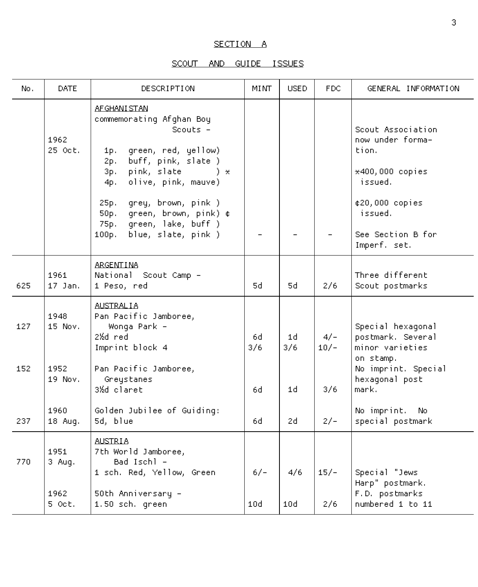## SECTION A

## SCOUT AND GUIDE ISSUES

| No.  | DATE.            | DESCRIPTION                                                                                                                                                                                                                                                                                                                  | MINT       | <b>USED</b> | FDC.            | GENERAL INFORMATION                                                                                                                            |
|------|------------------|------------------------------------------------------------------------------------------------------------------------------------------------------------------------------------------------------------------------------------------------------------------------------------------------------------------------------|------------|-------------|-----------------|------------------------------------------------------------------------------------------------------------------------------------------------|
|      | 1962<br>25 Oct.  | AF GHANI STAN<br>commemorating Afghan Boy<br>Scouts $-$<br>green, red, yellow)<br>1p.<br>buff, pink, slate )<br>2p.<br>pink, slate<br>3p.<br>$\rightarrow \star$<br>olive, pink, mauve)<br>4p.<br>grey, brown, pink)<br>25p.<br>green, brown, pink) ¢<br>50p.<br>green, lake, buff )<br>75p.<br>blue, slate, pink )<br>100p. |            |             |                 | Scout Association<br>now under forma-<br>tion.<br>*400,000 copies<br>issued.<br>¢20,000 copies<br>issued.<br>See Section B for<br>Imperf. set. |
| 625. | 1961.<br>17 Jan. | <b>ARGENTINA</b><br>National Scout Camp -<br>1 Peso, red                                                                                                                                                                                                                                                                     | 54.        | 54.         | 2/6             | Three different<br>Scout postmarks                                                                                                             |
| 127  | 1948<br>15 Nov.  | <b>AUSTRALIA</b><br>Pan Pacific Jamboree,<br>Wonga Park -<br>2½d red<br>Imprint block 4                                                                                                                                                                                                                                      | 6d.<br>3/6 | 1d<br>3/6   | $4/-$<br>$10/-$ | Special hexagonal<br>postmark. Several<br>minor varieties                                                                                      |
| 152  | 1952<br>19 Nov.  | Pan Pacific Jamboree,<br>Greystanes<br>3½d claret                                                                                                                                                                                                                                                                            | 6d         | 1d          | 3/6             | on stamp.<br>No imprint. Special<br>hexagonal post<br>mark.                                                                                    |
| 237  | 1960<br>18 Aug.  | Golden Jubilee of Guiding:<br>5d, blue                                                                                                                                                                                                                                                                                       | 6d         | 2d.         | $2/-$           | No imprint. No<br>special postmark                                                                                                             |
| 770  | 1951<br>3 Aug.   | <b>AUSTRIA</b><br>7th World Jamboree,<br>Bad Ischl –<br>1 sch. Red, Yellow, Green                                                                                                                                                                                                                                            | $6/-$      | 4/6         | $15/-$          | Special "Jews<br>Harp" postmark.                                                                                                               |
|      | 1962<br>5 Oct.   | 50th Anniversary -<br>1.50 sch. green                                                                                                                                                                                                                                                                                        | 10d        | 10d         | 2/6             | F.D. postmarks<br>numbered 1 to 11                                                                                                             |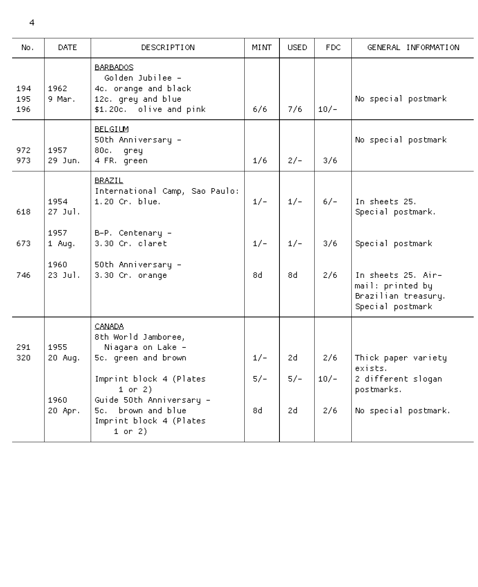| No.               | <b>DATE</b>      | DESCRIPTION                                                                                                  | MI NT. | <b>USED</b> | FDC.   | GENERAL INFORMATION                                                               |
|-------------------|------------------|--------------------------------------------------------------------------------------------------------------|--------|-------------|--------|-----------------------------------------------------------------------------------|
| 194<br>195<br>196 | 1962<br>9 Mar.   | <b>BARBADOS</b><br>Golden Jubilee -<br>4c. orange and black<br>12c. grey and blue<br>\$1.20c. olive and pink | 6/6    | 7/6         | $10/-$ | No special postmark                                                               |
| 972<br>973        | 1957<br>29 Jun.  | <b>BELGIUM</b><br>50th Anniversary -<br>80c. grey<br>4 FR. green                                             | 1/6    | $2/-$       | 3/6    | No special postmark                                                               |
| 618               | 1954<br>27 Jul.  | BRAZIL.<br>International Camp, Sao Paulo:<br>1.20 Cr. blue.                                                  | $1/-$  | $1/-$       | $6/-$  | In sheets 25.<br>Special postmark.                                                |
| 673               | 1957<br>1 Aug.   | B-P. Centenary -<br>3.30 Cr. claret                                                                          | $1/-$  | $1/-$       | 3/6    | Special postmark                                                                  |
| 746               | 1960.<br>23 Jul. | 50th Anniversary -<br>3.30 Cr. orange                                                                        | 84.    | h8          | 2/6    | In sheets 25. Air-<br>mail: printed by<br>Brazilian treasury.<br>Special postmark |
| 291               | 1955             | CANADA.<br>8th World Jamboree,<br>Niagara on Lake -                                                          |        |             |        |                                                                                   |
| 320               | 20 Aug.          | 5c. green and brown                                                                                          | $1/-$  | 2d.         | 2/6    | Thick paper variety<br>exists.                                                    |
|                   | 1960             | Imprint block 4 (Plates<br>$1$ or $2)$<br>Guide 50th Anniversary -                                           | $5/-$  | $5/-$       | $10/-$ | 2 different slogan<br>postmarks.                                                  |
|                   | 20 Apr.          | 5c. brown and blue<br>Imprint block 4 (Plates<br>$1$ or $2)$                                                 | h8.    | 24.         | 2/6    | No special postmark.                                                              |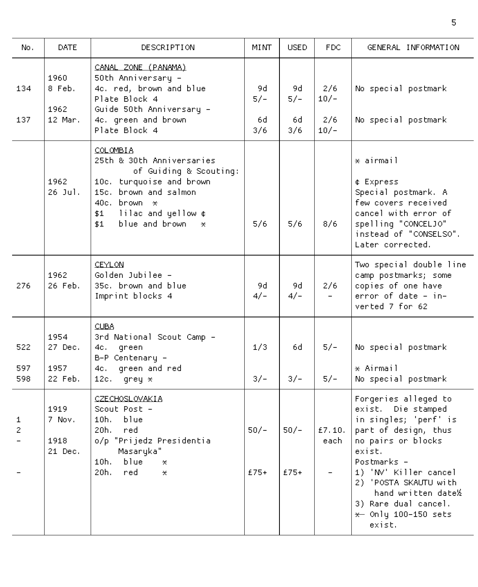| No.                 | <b>DATE</b>                        | <b>DESCRIPTION</b>                                                                                                                                                                                             | <b>MINT</b>                | <b>USED</b>               | FDC.                           | GENERAL INFORMATION                                                                                                                                                                                                                                                               |
|---------------------|------------------------------------|----------------------------------------------------------------------------------------------------------------------------------------------------------------------------------------------------------------|----------------------------|---------------------------|--------------------------------|-----------------------------------------------------------------------------------------------------------------------------------------------------------------------------------------------------------------------------------------------------------------------------------|
| 134<br>137          | 1960<br>8 Feb.<br>1962<br>12 Mar.  | CANAL ZONE (PANAMA)<br>50th Anniversary -<br>4c. red, brown and blue<br>Plate Block 4<br>Guide 50th Anniversary -<br>4c. green and brown<br>Plate Block 4                                                      | 9d.<br>$5/-$<br>6d.<br>3/6 | 9d.<br>57–1<br>6d.<br>3/6 | 2/6<br>$10/-$<br>2/6<br>$10/-$ | No special postmark<br>No special postmark                                                                                                                                                                                                                                        |
|                     | 1962<br>26 Jul.                    | <b>COLOMBIA</b><br>25th & 30th Anniversaries<br>of Guiding & Scouting:<br>10c. turquoise and brown<br>15c. brown and salmon<br>40c. brown $\star$<br>lilac and yellow ¢<br>\$1.<br>blue and brown<br>\$1<br>*. | 5/6                        | 5/6                       | 8/6                            | * airmail<br>¢ Express<br>Special postmark. A<br>few covers received<br>cancel with error of<br>spelling "CONCELJO"<br>instead of "CONSELSO".<br>Later corrected.                                                                                                                 |
| 276                 | 1962<br>26 Feb.                    | CEYLON.<br>Golden Jubilee -<br>35c. brown and blue<br>Imprint blocks 4                                                                                                                                         | 9d.<br>$4/-$               | 9d.<br>$4/-$              | 2/6                            | Two special double line<br>camp postmarks; some<br>copies of one have<br>error of date - in-<br>verted 7 for 62                                                                                                                                                                   |
| 522<br>597<br>598   | 1954<br>27 Dec.<br>1957<br>22 Feb. | CUBA.<br>3rd National Scout Camp -<br>qreen<br>4c. –<br>B-P Centenary -<br>green and red<br>4c. –<br>12c. .<br>$q$ rey $*$                                                                                     | 1/3<br>$3/-$               | 6d.<br>$3/-$              | 57–1<br>$5/-$                  | No special postmark<br>* Airmail<br>No special postmark                                                                                                                                                                                                                           |
| 1<br>$\overline{2}$ | 1919<br>7 Nov.<br>1918<br>21 Dec.  | CZECHOSLOVAKIA<br>Scout Post -<br>10h.<br>blue<br>20h.<br>red.<br>o/p "Prijedz Presidentia<br>Masaryka"<br>10h. l<br>blue<br>$\star$<br>20h.<br>red.<br>*.                                                     | $50/-$<br>$£75+$           | $50/-$<br>$£75+$          | £7.10.<br>each                 | Forgeries alleged to<br>exist. Die stamped<br>in singles; 'perf' is<br>part of design, thus<br>no pairs or blocks<br>exist.<br>Postmarks –<br>1) 'MV' Killer cancel<br>2) 'POSTA SKAUTU with<br>hand written date½<br>3) Rare dual cancel.<br>$\star$ Only 100-150 sets<br>exist. |

the contract of the contract of the contract of the contract of the contract of the contract of the contract of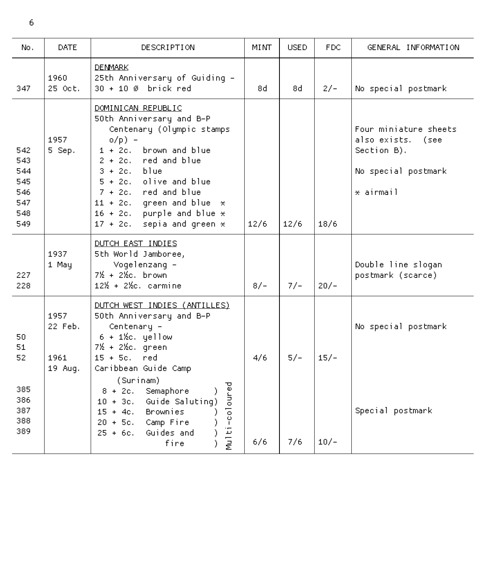| No.                                                  | DATE                                | DESCRIPTION                                                                                                                                                                                                                                                                                                                                       | MINT  | <b>USED</b> | FDC.   | GENERAL INFORMATION                                                                                      |
|------------------------------------------------------|-------------------------------------|---------------------------------------------------------------------------------------------------------------------------------------------------------------------------------------------------------------------------------------------------------------------------------------------------------------------------------------------------|-------|-------------|--------|----------------------------------------------------------------------------------------------------------|
| 347                                                  | 1960<br>25 Oct.                     | <b>DENMARK</b><br>25th Anniversary of Guiding -<br>30 + 10 Ø brick red                                                                                                                                                                                                                                                                            | 8d.   | 8d.         | $2/-$  | No special postmark                                                                                      |
| 542<br>543<br>544<br>545<br>546<br>547<br>548<br>549 | 1957<br>5 Sep.                      | DOMINICAN REPUBLIC<br>50th Anniversary and B-P<br>Centenary (Olympic stamps<br>$o(p) -$<br>$1 + 2c.$<br>brown and blue<br>$2 + 2c.$<br>red and blue<br>$3 + 2c$ . blue<br>$5 + 2c.$<br>olive and blue<br>7 + 2c. red and blue<br>11 + 2c. green and blue $\star$<br>$16 + 2c$ . purple and blue $\times$<br>sepia and green $\star$<br>$17 + 2c.$ | 12/6  | 12/6        | 18/6   | Four miniature sheets<br>also exists. .<br>(see<br>Section B).<br>No special postmark<br>$\star$ airmail |
| 227<br>228                                           | 1937<br>1 May                       | DUTCH EAST INDIES<br>5th World Jamboree,<br>Vogelenzang -<br>7½ + 2½c, brown<br>$12\% + 2\%$ c, carmine                                                                                                                                                                                                                                           | $8/-$ | $7/-$       | $20/-$ | Double line slogan<br>postmark (scarce)                                                                  |
| 50<br>51<br>52.<br>385<br>386<br>387<br>388          | 1957<br>22 Feb.<br>1961.<br>19 Aug. | DUTCH WEST INDIES (ANTILLES)<br>50th Anniversary and B-P<br>Centenary -<br>$6 + 1\%c.$ yellow<br>7½ + 2½c. green<br>$15 + 5c.$<br>red.<br>Caribbean Guide Camp<br>(Surinam)<br>Multi-coloured<br>Semaphore<br>$8 + 2c.$<br>Guide Saluting)<br>$10 + 3c.$<br><b>Brownies</b><br>$15 + 4c.$<br>$20 + 5c$ .<br>Camp Fire                             | 4/6   | $5/-$       | $15/-$ | No special postmark<br>Special postmark                                                                  |
| 389                                                  |                                     | Guides and<br>25 + 6с.<br>)<br>fire                                                                                                                                                                                                                                                                                                               | 6/6   | 7/6         | $10/-$ |                                                                                                          |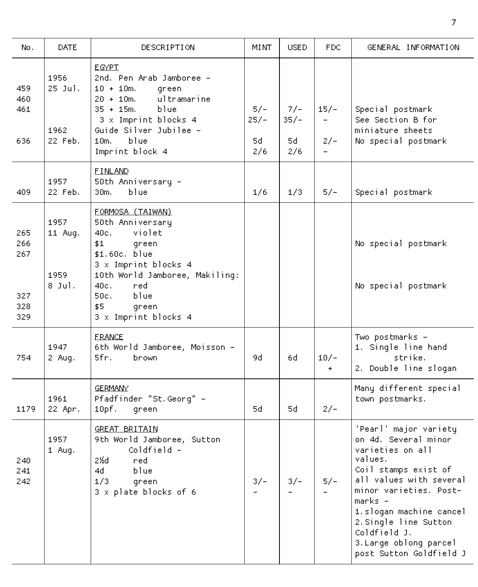| No.                                    | <b>DATE</b>                          | DESCRIPTION                                                                                                                                                                                                                | MI NT                         | <b>USED</b>                       | FDC.                                                                    | GENERAL INFORMATION                                                                                                                                                                                                                                                                           |
|----------------------------------------|--------------------------------------|----------------------------------------------------------------------------------------------------------------------------------------------------------------------------------------------------------------------------|-------------------------------|-----------------------------------|-------------------------------------------------------------------------|-----------------------------------------------------------------------------------------------------------------------------------------------------------------------------------------------------------------------------------------------------------------------------------------------|
| 459.<br>460.<br>461<br>636             | 1956<br>$25$ Jul.<br>1962<br>22 Feb. | <b>EGYPT</b><br>2nd. Pen Arab Jamboree -<br>$10 + 10m$ .<br>green<br>ultramarine<br>$20 + 10m$ .<br>blue<br>$35 + 15m$ .<br>3 x Imprint blocks 4<br>Guide Silver Jubilee -<br>10m.<br>blue<br>Imprint block 4              | $5/-$<br>$25/-$<br>5d.<br>2/6 | $7/-$<br>35/-<br>5d.<br>2/6       | $15/-$<br>$\overline{\phantom{0}}$<br>$2/-$<br>$\overline{\phantom{0}}$ | Special postmark<br>See Section B for<br>miniature sheets<br>No special postmark                                                                                                                                                                                                              |
| 409                                    | 1957<br>22 Feb.                      | <b>FINLAND</b><br>50th Anniversary –<br>blue<br>30m.                                                                                                                                                                       | 1/6                           | 1/3                               | $5/-$                                                                   | Special postmark                                                                                                                                                                                                                                                                              |
| 265<br>266<br>267<br>327<br>328<br>329 | 1957<br>11 Aug.<br>1959<br>8 Jul.    | FORMOSA (TAIWAN)<br>50th Anniversary<br>violet<br>40c.<br>\$1<br>green<br>\$1.60c. blue<br>3 x Imprint blocks 4<br>10th World Jamboree, Makiling:<br>40c.<br>red.<br>blue<br>50c.<br>\$5.<br>green<br>3 x Imprint blocks 4 |                               |                                   |                                                                         | No special postmark<br>No special postmark                                                                                                                                                                                                                                                    |
| 754                                    | 1947<br>2 Aug.                       | <b>FRANCE</b><br>6th World Jamboree, Moisson –<br>5fr.<br>brown                                                                                                                                                            | 9d.                           | 6d                                | $10/-$<br>$+$                                                           | Two postmarks -<br>1. Single line hand<br>strike.<br>2. Double line slogan                                                                                                                                                                                                                    |
| 1179                                   | 1961<br>22 Apr.                      | GERMANY.<br>Pfadfinder "St. Georg" -<br>10pf.<br>qreen                                                                                                                                                                     | 5d                            | 5d.                               | $2/-$                                                                   | Many different special<br>town postmarks.                                                                                                                                                                                                                                                     |
| 240<br>241<br>242                      | 1957<br>1 Aug.                       | GREAT BRITAIN<br>9th World Jamboree, Sutton<br>Coldfield -<br>2½d<br>ned.<br>4d<br>blue<br>1/3<br>qreen<br>3 x plate blocks of 6                                                                                           | $3/-$<br>$\overline{a}$       | $3/-$<br>$\overline{\phantom{0}}$ | $5/-$<br>$\equiv$                                                       | 'Pearl' major variety<br>on 4d. Several minor<br>varieties on all<br>values.<br>Coil stamps exist of<br>all values with several<br>minor varieties. Post-<br>marks -<br>1.slogan machine cancel<br>2. Single line Sutton<br>Coldfield J.<br>3. Large oblong parcel<br>post Sutton Goldfield J |

7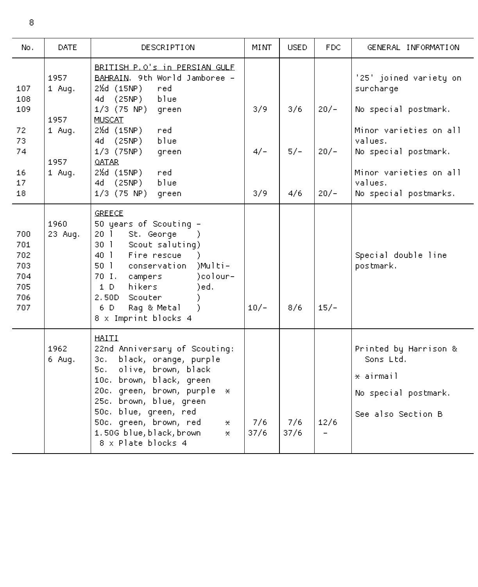| No.                                                  | DATE             | DESCRIPTION                                                                                                                                                                                                                                                                                                                           | MINT        | <b>USED</b> | FDC.                             | GENERAL INFORMATION                                                                                |
|------------------------------------------------------|------------------|---------------------------------------------------------------------------------------------------------------------------------------------------------------------------------------------------------------------------------------------------------------------------------------------------------------------------------------|-------------|-------------|----------------------------------|----------------------------------------------------------------------------------------------------|
| 107<br>108                                           | 1957<br>$1$ Aug. | BRITISH P.O's in PERSIAN GULF<br>BAHRAIN, 9th World Jamboree -<br>2%d (15NP)<br>red.<br>4d (25NP)<br>blue                                                                                                                                                                                                                             |             |             |                                  | '25' joined variety on<br>surcharge                                                                |
| 109                                                  | 1957             | $1/3$ (75 NP)<br>green<br><b>MUSCAT</b>                                                                                                                                                                                                                                                                                               | 3/9         | 3/6         | $20/-$                           | No special postmark.                                                                               |
| 72<br>73                                             | 1 Aug.           | 2½d (15NP)<br>red.<br>4d (25NP)<br>blue                                                                                                                                                                                                                                                                                               |             |             |                                  | Minor varieties on all<br>values.                                                                  |
| 74                                                   | 1957             | 1/3 (75NP)<br>green<br><b>OATAR</b>                                                                                                                                                                                                                                                                                                   | $4/-$       | $5/-$       | $20/-$                           | No special postmark.                                                                               |
| 16<br>17<br>18                                       | 1 Aug.           | 2½d (15NP)<br>red.<br>blue<br>4d (25NP)<br>$1/3$ (75 NP)<br>green                                                                                                                                                                                                                                                                     | 3/9         | 4/6         | $20/-$                           | Minor varieties on all<br>values.<br>No special postmarks.                                         |
| 700<br>701<br>702<br>703<br>704<br>705<br>706<br>707 | 1960<br>23 Aug.  | <b>GREECE</b><br>50 years of Scouting -<br>20 <sub>1</sub><br>St. George<br>30 <sub>1</sub><br>Scout saluting)<br>Fire rescue<br>$40-1$<br>50 <sub>1</sub><br>)Multi-<br>conservation<br>)colour-<br>70 I. campers<br>hikers<br>)ed.<br>1 D.<br>2.50D<br>Scouter<br>6 D<br>Rag & Metal<br>).<br>8 x Imprint blocks 4                  | $10/-$      | 8/6         | $15/-$                           | Special double line<br>postmark.                                                                   |
|                                                      | 1962<br>6 Aug.   | HAITI<br>22nd Anniversary of Scouting:<br>black, orange, purple<br>3c. .<br>olive, brown, black<br>5c. –<br>10c. brown, black, green<br>20c. green, brown, purple<br>$\pmb{\times}$<br>25c. brown, blue, green<br>50c. blue, green, red<br>50c. green, brown, red<br>$*$<br>1.50G blue, black, brown<br>$\star$<br>8 x Plate blocks 4 | 7/6<br>37/6 | 7/6<br>37/6 | 12/6<br>$\overline{\phantom{0}}$ | Printed by Harrison &<br>$Sons$ $+ Ed.$<br>* airmail<br>No special postmark.<br>See also Section B |

8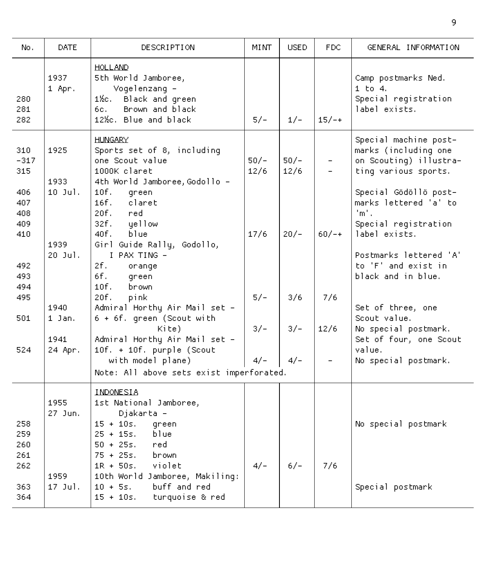| No.                                       | <b>DATE</b>             | DESCRIPTION                                                                                                                                                                                                 | MI NT-         | <b>USED</b>    | FDC.                                                 | GENERAL INFORMATION                                                                                                                                        |
|-------------------------------------------|-------------------------|-------------------------------------------------------------------------------------------------------------------------------------------------------------------------------------------------------------|----------------|----------------|------------------------------------------------------|------------------------------------------------------------------------------------------------------------------------------------------------------------|
| 280<br>281<br>282                         | 1937<br>1 Apr.          | <b>HOLLAND</b><br>5th World Jamboree,<br>Vogelenzang -<br>1½с. –<br>Black and green<br>Brown and black<br>6c. .<br>12%c. Blue and black                                                                     | $5/-$          | $1/-$          | $15/-+$                                              | Camp postmarks Ned.<br>$1$ to $4$ .<br>Special registration<br>label exists.                                                                               |
| 310<br>$-317$<br>315<br>406<br>407<br>408 | 1925<br>1933<br>10 Jul. | HLINGARY<br>Sports set of 8, including<br>one Scout value<br>1000K claret<br>4th World Jamboree, Godollo -<br>10f.<br>green<br>16f.<br>claret<br>20f.<br>ned –                                              | $50/-$<br>12/6 | $50/-$<br>12/6 | $\overline{\phantom{0}}$<br>$\overline{\phantom{0}}$ | Special machine post-<br>marks (including one<br>on Scouting) illustra-<br>ting various sports.<br>Special Gödöllö post-<br>marks lettered 'a' to<br>'m' . |
| 409<br>410<br>492<br>493.                 | 1939<br>20 Jul.         | 32f. l<br>qellow<br>40f.<br>blue<br>Girl Guide Rally, Godollo,<br>I PAX TING -<br>2f.<br>orange<br>6f.<br>green                                                                                             | 17/6           | $20/-$         | $60/-+$                                              | Special registration<br>label exists.<br>Postmarks lettered 'A'<br>to 'F' and exist in<br>black and in blue.                                               |
| 494<br>495<br>501                         | 1940<br>1 Jan.          | 10f.<br>brown<br>20f.<br>pink<br>Admiral Horthy Air Mail set -<br>6 + 6f. green (Scout with                                                                                                                 | $5/-$          | 3/6            | 7/6                                                  | Set of three, one<br>Scout value.                                                                                                                          |
| 524                                       | 1941<br>24 Apr.         | Kite)<br>Admiral Horthy Air Mail set -<br>10f. + 10f. purple (Scout<br>with model plane)<br>Note: All above sets exist imperforated.                                                                        | $3/-$<br>$4/-$ | $3/-$<br>4/-   | 12/6                                                 | No special postmark.<br>Set of four, one Scout<br>value.<br>No special postmark.                                                                           |
| 258<br>259<br>260<br>261<br>262           | 1955<br>27 Jun.<br>1959 | INDONESIA<br>1st National Jamboree,<br>Djakarta -<br>$15 + 10s$ .<br>green<br>$25 + 15s$ .<br>blue.<br>$50 + 25s$ , red<br>$75 + 25s$ .<br>brown<br>$1R + 50s.$<br>violet<br>10th World Jamboree, Makiling: | $4/-$          | $6/-$          | 7/6                                                  | No special postmark                                                                                                                                        |
| 363<br>364                                | 17 Jul.                 | buff and red<br>$10 + 5s$ .<br>$15 + 10s.$<br>turquoise & red                                                                                                                                               |                |                |                                                      | Special postmark                                                                                                                                           |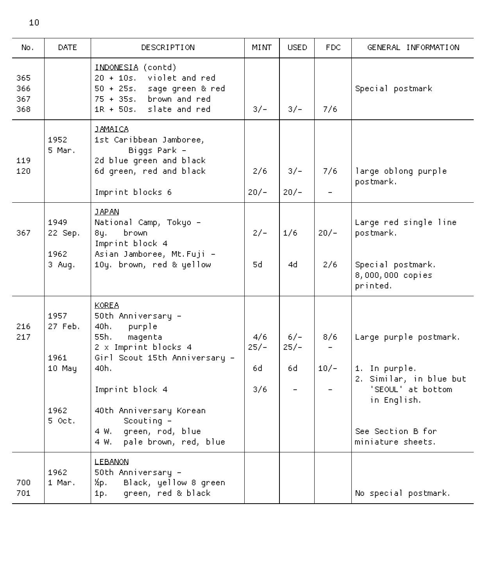| No.                      | <b>DATE</b>                                         | DESCRIPTION                                                                                                                                                                                                                                                          | MINT                        | <b>USED</b>            | FDC.          | GENERAL INFORMATION                                                                                                                              |
|--------------------------|-----------------------------------------------------|----------------------------------------------------------------------------------------------------------------------------------------------------------------------------------------------------------------------------------------------------------------------|-----------------------------|------------------------|---------------|--------------------------------------------------------------------------------------------------------------------------------------------------|
| 365<br>366<br>367<br>368 |                                                     | INDONESIA (contd)<br>violet and red<br>$20 + 10s$ .<br>$50 + 25s$ .<br>sage green & red<br>$75 + 355.$<br>brown and red<br>$1R + 50s$ .<br>slate and red                                                                                                             | $3/-$                       | $3/-$                  | 7/6           | Special postmark                                                                                                                                 |
| 119<br>120               | 1952<br>5 Mar.                                      | <b>JAMAICA</b><br>1st Caribbean Jamboree,<br>Biggs Park -<br>2d blue green and black<br>6d green, red and black<br>Imprint blocks 6                                                                                                                                  | 2/6<br>$20/-$               | $3/-$<br>$20/-$        | 7/6           | large oblong purple<br>postmark.                                                                                                                 |
| 367                      | 1949<br>22 Sep.<br>1962<br>3 Aug.                   | <b>JAPAN</b><br>National Camp, Tokyo -<br>8y.<br>brown<br>Imprint block 4<br>Asian Jamboree, Mt. Fuji -<br>10y. brown, red & yellow                                                                                                                                  | $2/-$<br>5d                 | 1/6<br>4d              | $20/-$<br>2/6 | Large red single line<br>postmark.<br>Special postmark.<br>8,000,000 copies<br>printed.                                                          |
| 216<br>217               | 1957<br>27 Feb.<br>1961<br>10 May<br>1962<br>5 Oct. | <b>KOREA</b><br>50th Anniversary -<br>40h.<br>purple<br>55h.<br>magenta<br>2 x Imprint blocks 4<br>Girl Scout 15th Anniversary -<br>40h.,<br>Imprint block 4<br>40th Anniversary Korean<br>Scouting $-$<br>green, rod, blue<br>4 W.<br>pale brown, red, blue<br>4 W. | 4/6<br>$25/-$<br>6d.<br>3/6 | $6/-$<br>$25/-$<br>6d. | 8/6<br>$10/-$ | Large purple postmark.<br>1. In purple.<br>2. Similar, in blue but<br>'SEOUL' at bottom<br>in English.<br>See Section B for<br>miniature sheets. |
| 700<br>701               | 1962<br>1 Mar.                                      | <b>LEBANON</b><br>50th Anniversary -<br>Хр.<br>Black, yellow 8 green<br>green, red & black<br>1р. –                                                                                                                                                                  |                             |                        |               | No special postmark.                                                                                                                             |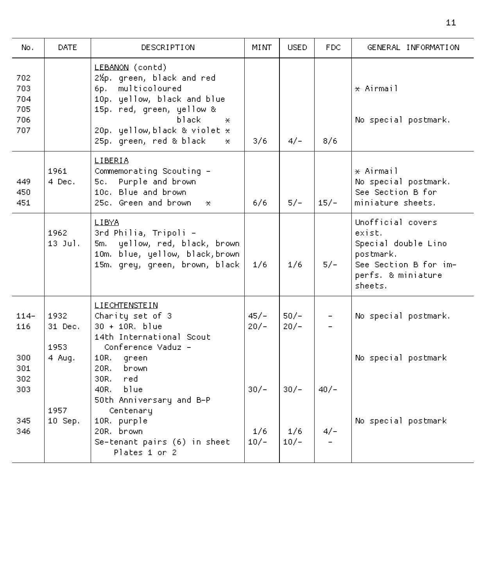| No.                                    | DATE.                   | <b>DESCRIPTION</b>                                                                                                                                                                                                          | MINT             | <b>USED</b>      | FDC.                     | GENERAL INFORMATION                                                                                                       |
|----------------------------------------|-------------------------|-----------------------------------------------------------------------------------------------------------------------------------------------------------------------------------------------------------------------------|------------------|------------------|--------------------------|---------------------------------------------------------------------------------------------------------------------------|
| 702<br>703<br>704<br>705<br>706<br>707 |                         | LEBANON (contd)<br>2½p. green, black and red<br>6p. multicoloured<br>10p. yellow, black and blue<br>15p. red, green, yellow &<br>black.<br>$*$<br>20p. yellow, black & violet $\star$<br>25p. green, red & black<br>$\star$ | 3/6              | $4/-$            | 8/6                      | $\star$ Airmail<br>No special postmark.                                                                                   |
| 449<br>450<br>451                      | 1961.<br>4 Dec.         | LIBERIA<br>Commemorating Scouting -<br>Purple and brown<br>5c. .<br>10c. Blue and brown.<br>25c. Green and brown.<br>$\pmb{\times}$                                                                                         | 6/6              | $5/-$            | $15/-$                   | * Airmail<br>No special postmark.<br>See Section B for<br>miniature sheets.                                               |
|                                        | 1962<br>$13$ Jul.       | LIBYA<br>3rd Philia, Tripoli -<br>yellow, red, black, brown<br>$5m$ .<br>10m. blue, yellow, black, brown<br>15m. grey, green, brown, black                                                                                  | 1/6              | 1/6              | $5/-$                    | Unofficial covers<br>exist.<br>Special double Lino<br>postmark.<br>See Section B for im-<br>perfs. & miniature<br>sheets. |
| $114-$<br>116                          | 1932<br>31 Dec.<br>1953 | <b>LIECHTENSTEIN</b><br>Charity set of 3<br>$30 + 10R$ . blue<br>14th International Scout<br>Conference Vaduz -                                                                                                             | $45/-$<br>$20/-$ | $50/-$<br>$20/-$ | $\overline{\phantom{a}}$ | No special postmark.                                                                                                      |
| 300<br>301<br>302<br>303               | 4 Aug.                  | 10R. green<br>20R. .<br>brown<br>30R.<br>-red.<br>blue<br>40R.<br>50th Anniversary and B-P                                                                                                                                  | $30/-$           | $30/-$           | $40/-$                   | No special postmark                                                                                                       |
| 345<br>346                             | 1957<br>10 Sep.         | Centenary<br>10R. purple<br>20R. brown.<br>Se-tenant pairs (6) in sheet<br>Plates 1 or 2                                                                                                                                    | 1/6<br>$10/-$    | 1/6<br>$10/-$    | $4/-$                    | No special postmark                                                                                                       |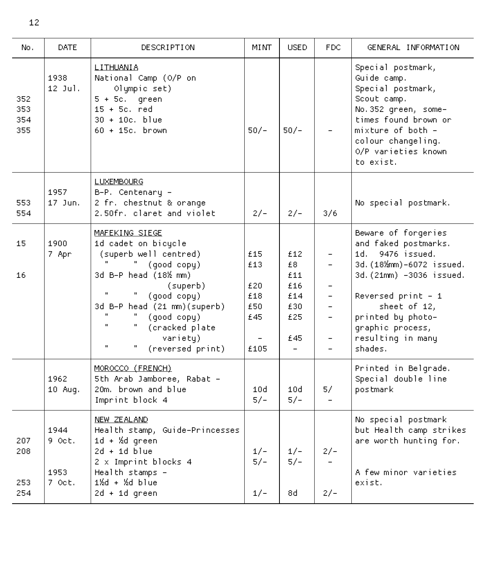| No.                      | DATE.                                        | DESCRIPTION                                                                                                                                                                                                                                                                                                                | <b>MINT</b>                                    | <b>USED</b>                                                      | <b>FDC</b>                                                                                                                                                   | GENERAL INFORMATION                                                                                                                                                                                                                    |
|--------------------------|----------------------------------------------|----------------------------------------------------------------------------------------------------------------------------------------------------------------------------------------------------------------------------------------------------------------------------------------------------------------------------|------------------------------------------------|------------------------------------------------------------------|--------------------------------------------------------------------------------------------------------------------------------------------------------------|----------------------------------------------------------------------------------------------------------------------------------------------------------------------------------------------------------------------------------------|
| 352<br>353<br>354<br>355 | 1938<br>12 Jul.                              | LITHUANIA<br>National Camp (0/P on<br>Olympic set)<br>$5 + 5c$ , green<br>$15 + 5c$ , red<br>30 + 10c, blue<br>$60 + 15c$ , brown                                                                                                                                                                                          | $50/-$                                         | $50/-$                                                           |                                                                                                                                                              | Special postmark,<br>Guide camp.<br>Special postmark,<br>Scout camp.<br>No.352 green, some-<br>times found brown or<br>mixture of both -<br>colour changeling.<br>O/P varieties known<br>to exist.                                     |
| 553<br>554               | 1957<br>17 Jun.                              | <b>LUXEMBOURG</b><br>B-P. Centenary -<br>2 fr. chestnut & orange<br>2.50fr. claret and violet                                                                                                                                                                                                                              | $2/-$                                          | $2/-$                                                            | 3/6                                                                                                                                                          | No special postmark.                                                                                                                                                                                                                   |
| 15<br>16                 | 1900<br>7 Apr                                | MAFEKING SIEGE<br>1d cadet on bicycle<br>(superb well centred)<br>$\mathbf{u}$<br>(good copy)<br>3d B-P head (18% mm)<br>(superb)<br>$\mathbf{u}$<br>(good copy)<br>3d B-P head (21 mm)(superb)<br>(good copy)<br>$\mathbf{u}$<br>(cracked plate<br>variety)<br>$\mathbf{u}$<br>$\mathbf{u}_\parallel$<br>(reversed print) | £15<br>£13<br>£20<br>£18<br>£50<br>£45<br>£105 | £12<br>£8.<br>£11<br>£16<br>£14<br>£30<br>£25<br>£45<br>$\equiv$ | $\overline{\phantom{0}}$<br>$\overline{\phantom{0}}$<br>$\equiv$<br>$\overline{\phantom{0}}$<br>$\overline{a}$<br>$\overline{\phantom{0}}$<br>$\overline{a}$ | Beware of forgeries<br>and faked postmarks.<br>1d. 9476 issued.<br>3d. (18%mm)-6072 issued.<br>3d. (21mm) -3036 issued.<br>Reversed print - 1<br>sheet of 12,<br>printed by photo-<br>graphic process,<br>resulting in many<br>shades. |
|                          | 1962<br>10 Aug.                              | MOROCCO (FRENCH)<br>5th Arab Jamboree, Rabat -<br>20m. brown and blue<br>Imprint block 4                                                                                                                                                                                                                                   | 10d<br>$5/-$                                   | 10d<br>$5/-$                                                     | 5/<br>$\overline{a}$                                                                                                                                         | Printed in Belgrade.<br>Special double line<br>postmark                                                                                                                                                                                |
| 207<br>208<br>253<br>254 | 1944<br>9 Oct.<br>1953<br>7.0 <sub>ct.</sub> | NEW ZEALAND<br>Health stamp, Guide-Princesses<br>1d + %d green<br>$2d + 1d$ blue<br>2 x Imprint blocks 4<br>Health stamps -<br>$1\frac{1}{2}d + \frac{1}{2}d$ blue<br>$2d + 1d$ green                                                                                                                                      | $1/-$<br>$5/-$<br>$1/-$                        | $1/-$<br>$5/-$<br>8d                                             | $2/-$<br>$2/-$                                                                                                                                               | No special postmark<br>but Health camp strikes<br>are worth hunting for.<br>A few minor varieties<br>exist.                                                                                                                            |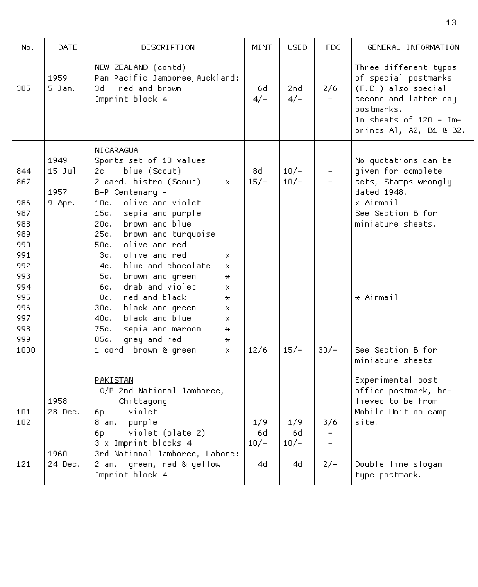| No.                                                                                                           | DATE.                              | DESCRIPTION                                                                                                                                                                                                                                                                                                                                                                                                                                                                                                                                                                         | <b>MINT</b>         | <b>USED</b>          | FDC.                            | GENERAL INFORMATION                                                                                                                                              |
|---------------------------------------------------------------------------------------------------------------|------------------------------------|-------------------------------------------------------------------------------------------------------------------------------------------------------------------------------------------------------------------------------------------------------------------------------------------------------------------------------------------------------------------------------------------------------------------------------------------------------------------------------------------------------------------------------------------------------------------------------------|---------------------|----------------------|---------------------------------|------------------------------------------------------------------------------------------------------------------------------------------------------------------|
| 305                                                                                                           | 1959<br>$5$ Jan.                   | NEW ZEALAND (contd)<br>Pan Pacific Jamboree, Auckland:<br>red and brown.<br>3d.<br>Imprint block 4                                                                                                                                                                                                                                                                                                                                                                                                                                                                                  | 6d.<br>$4/-$        | 2nd.<br>$4/-$        | 2/6<br>$\overline{\phantom{0}}$ | Three different typos<br>of special postmarks<br>(F.D.) also special<br>second and latter day<br>postmarks.<br>In sheets of 120 - Im-<br>prints Al, A2, B1 & B2. |
| 844<br>867<br>986<br>987<br>988<br>989<br>990<br>991<br>992<br>993.<br>994<br>995<br>996<br>997<br>998<br>999 | 1949<br>$15$ Jul<br>1957<br>9 Apr. | NI CARAGUA<br>Sports set of 13 values<br>2c. –<br>blue (Scout)<br>2 card. bistro (Scout)<br>$\star$<br>B-P Centenary -<br>olive and violet<br>10c.<br>15c.<br>sepia and purple<br>20c.<br>brown and blue<br>25c.<br>brown and turquoise<br>50c.<br>olive and red<br>3c.<br>olive and red<br>$\star$<br>blue and chocolate<br>4c. .<br>×.<br>5c.<br>brown and green<br>*.<br>drab and violet<br>6c.<br>⋇.<br>red and black<br>8c. .<br>*.<br>30c.<br>black and green<br>*.<br>black and blue<br>40c.<br>$\star$<br>75c.<br>sepia and maroon<br>$\star$<br>85c.<br>grey and red<br>*. | 8d.<br>$15/-$       | $10/-$<br>$10/-$     | $\overline{\phantom{0}}$        | No quotations can be<br>given for complete<br>sets, Stamps wrongly<br>dated 1948.<br>* Airmail<br>See Section B for<br>miniature sheets.<br>* Airmail            |
| 1000                                                                                                          |                                    | 1 cord brown & green<br>*.                                                                                                                                                                                                                                                                                                                                                                                                                                                                                                                                                          | 12/6                | $15/-$               | $30/-$                          | See Section B for<br>miniature sheets.                                                                                                                           |
| 101<br>102                                                                                                    | 1958<br>28 Dec.<br>1960            | PAKISTAN<br>O/P 2nd National Jamboree,<br>Chittagong<br>violet<br>6р.<br>8 an.<br>purple<br>violet (plate 2)<br>6р.<br>3 x Imprint blocks 4<br>3rd National Jamboree, Lahore:                                                                                                                                                                                                                                                                                                                                                                                                       | 1/9<br>6d<br>$10/-$ | 1/9<br>6d.<br>$10/-$ | 3/6                             | Experimental post<br>office postmark, be-<br>lieved to be from<br>Mobile Unit on camp<br>site.                                                                   |
| 121                                                                                                           | 24 Dec.                            | green, red & yellow<br>2 an.<br>Imprint block 4                                                                                                                                                                                                                                                                                                                                                                                                                                                                                                                                     | 4d                  | 4d -                 | $2/-$                           | Double line slogan<br>type postmark.                                                                                                                             |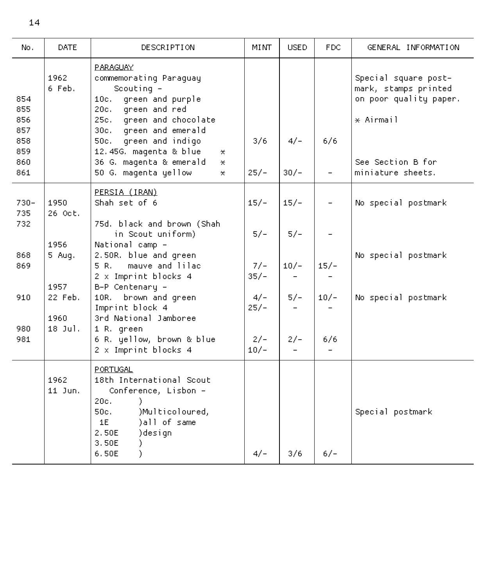| No.                      | <b>DATE</b>             | DESCRIPTION                                                                                                                                                                  | <b>MINT</b>     | <b>USED</b> | <b>FDC</b>               | GENERAL INFORMATION                                                                 |
|--------------------------|-------------------------|------------------------------------------------------------------------------------------------------------------------------------------------------------------------------|-----------------|-------------|--------------------------|-------------------------------------------------------------------------------------|
| 854<br>855<br>856        | 1962<br>6 Feb.          | PARAGUAY<br>commemorating Paraguay<br>Scouting $-$<br>10c. green and purple<br>20c. green and red<br>25c. green and chocolate                                                |                 |             |                          | Special square post-<br>mark, stamps printed<br>on poor quality paper.<br>* Airmail |
| 857<br>858<br>859<br>860 |                         | 30c. green and emerald<br>50c. green and indigo<br>12.45G. magenta & blue<br>×.<br>36 G. magenta & emerald<br>×.                                                             | 3/6             | $4/-$       | 6/6                      | See Section B for                                                                   |
| 861                      |                         | 50 G. magenta yellow<br>×.                                                                                                                                                   | $25/-$          | $30/-$      | $\overline{\phantom{0}}$ | miniature sheets.                                                                   |
| $730 -$<br>735           | 1950<br>26 Oct.         | PERSIA (IRAN)<br>Shah set of 6                                                                                                                                               | $15/-$          | $15/-$      |                          | No special postmark                                                                 |
| 732                      | 1956                    | 75d. black and brown (Shah<br>in Scout uniform)<br>National camp -                                                                                                           | $5/-$           | $5/-$       |                          |                                                                                     |
| 868<br>869               | 5 Aug.                  | 2.50R. blue and green<br>mauve and lilac<br>5 R.<br>2 x Imprint blocks 4                                                                                                     | $7/-$<br>$35/-$ | $10/-$      | $15/-$                   | No special postmark                                                                 |
| 910                      | 1957<br>22 Feb.<br>1960 | B-P Centenary -<br>10R. brown and green<br>Imprint block 4<br>3rd National Jamboree                                                                                          | $4/-$<br>$25/-$ | $5/-$       | $10/-$                   | No special postmark                                                                 |
| 980<br>981               | $18$ Jul.               | 1 R. green<br>6 R. yellow, brown & blue<br>2 x Imprint blocks 4                                                                                                              | $2/-$<br>$10/-$ | $2/-$       | 6/6                      |                                                                                     |
|                          | 1962<br>11 Jun.         | <b>PORTHGAL</b><br>18th International Scout<br>Conference, Lisbon -<br>20c.<br>)Multicoloured,<br>50c.<br>)all of same<br>1E<br>2.50E<br>)design<br>3.50E<br>λ<br>6.50E<br>λ | $4/-$           | 3/6         | $6/ -$                   | Special postmark                                                                    |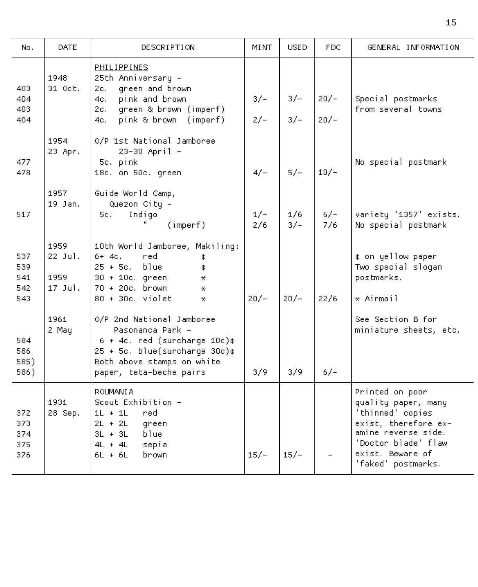| No.                             | <b>DATE</b>                        | DESCRIPTION                                                                                                                                                                | MINT           | <b>USED</b>    | FDC.             | GENERAL INFORMATION                                                                                                                                                        |
|---------------------------------|------------------------------------|----------------------------------------------------------------------------------------------------------------------------------------------------------------------------|----------------|----------------|------------------|----------------------------------------------------------------------------------------------------------------------------------------------------------------------------|
| 403<br>404<br>403<br>404        | 1948<br>31 Oct.                    | PHILIPPINES<br>25th Anniversary -<br>green and brown<br>2c.<br>pink and brown<br>4c. –<br>green & brown (imperf)<br>2c. –<br>pink & brown (imperf)<br>4c. l                | $3/-$<br>$2/-$ | $3/-$<br>$3/-$ | $20/-$<br>$20/-$ | Special postmarks<br>from several towns                                                                                                                                    |
| 477<br>478                      | 1954<br>23 Apr.                    | O/P 1st National Jamboree<br>23-30 April -<br>5c. pink<br>18c. on 50c. green                                                                                               | $4/-$          | $5/-$          | $10/-$           | No special postmark                                                                                                                                                        |
| 517                             | 1957<br>19 Jan.                    | Guide World Camp,<br>Quezon City -<br>5c.<br>Indigo<br>(imperf)                                                                                                            | $1/-$<br>2/6   | 1/6<br>$3/-$   | $6/-$<br>7/6     | varietų '1357' exists.<br>No special postmark                                                                                                                              |
| 537<br>539<br>541<br>542<br>543 | 1959<br>22 Jul.<br>1959<br>17 Jul. | 10th World Jamboree, Makiling:<br>red.<br>6+ 4c.<br>¢<br>$25 + 5c.$<br>blue<br>¢<br>$30 + 10c$ , green<br>*.<br>70 + 20c. brown<br>×.<br>80 + 30c, violet<br>*.            | $20/-$         | $20/-$         | 22/6             | ¢ on yellow paper<br>Two special sloqan<br>postmarks.<br>* Airmail                                                                                                         |
| 584<br>586<br>585)<br>586)      | 1961<br>2 May                      | O/P 2nd National Jamboree<br>Pasonanca Park -<br>$6 + 4c$ , red (surcharge 10c)¢<br>25 + 5c. blue(surcharge 30c)¢<br>Both above stamps on white<br>paper, teta-beche pairs | 3/9            | 3/9            | $6/-$            | See Section B for<br>miniature sheets, etc.                                                                                                                                |
| 372<br>373<br>374<br>375<br>376 | 1931<br>28 Sep.                    | <b>ROUMANIA</b><br>Scout Exhibition -<br>$1L + 1L$<br>red<br>$2L + 2L$<br>green<br>$3L + 3L$<br>blue<br>$4L + 4L$<br>sepia<br>$6L + 6L$<br>brown                           | $15/-$         | $15/-$         |                  | Printed on poor<br>quality paper, many<br>'thinned' copies<br>exist, therefore ex-<br>amine reverse side.<br>'Doctor blade' flaw<br>exist. Beware of<br>'faked' postmarks. |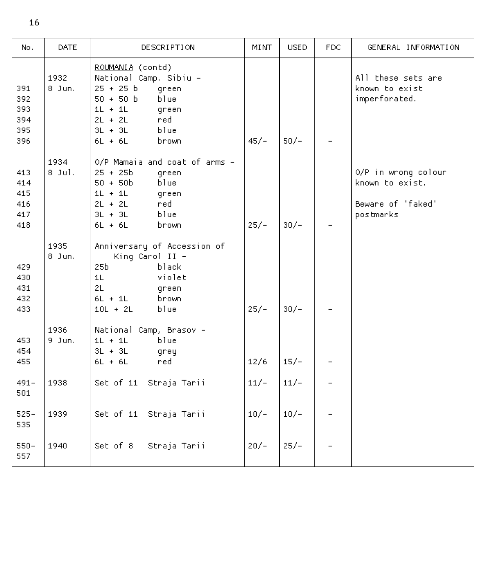| No.                                    | <b>DATE</b>      | DESCRIPTION                                                                                                                                                                     | <b>MINT</b> | <b>USED</b> | FDC. | GENERAL INFORMATION                                                      |
|----------------------------------------|------------------|---------------------------------------------------------------------------------------------------------------------------------------------------------------------------------|-------------|-------------|------|--------------------------------------------------------------------------|
| 391<br>392<br>393<br>394<br>395<br>396 | 1932<br>$8$ Jun. | ROLMANIA (contd)<br>National Camp. Sibiu -<br>$25 + 25 b$<br>green<br>$50 + 50 b$<br>blue<br>$1L + 1L$<br>green<br>$2L + 2L$<br>red.<br>$3L + 3L$<br>blue<br>$6L + 6L$<br>brown | $45/-$      | $50/-$      |      | All these sets are<br>known to exist<br>imperforated.                    |
| 413<br>414<br>415<br>416<br>417<br>418 | 1934<br>$8$ Jul. | O/P Mamaia and coat of arms -<br>$25 + 25b$<br>green<br>$50 + 50b$<br>blue<br>$1L + 1L$<br>green<br>$2L + 2L$<br>red.<br>$3L + 3L$<br>blue<br>$6L + 6L$<br>brown                | $25/-$      | $30/-$      |      | O/P in wrong colour<br>known to exist.<br>Beware of 'faked'<br>postmarks |
| 429<br>430<br>431<br>432<br>433        | 1935<br>8 Jun.   | Anniversary of Accession of<br>King Carol II -<br>25 <sub>b</sub><br>black<br>1L<br>violet<br>2L<br>green<br>$6L + 1L$<br>brown<br>$10L + 2L$<br>blue                           | $25/-$      | $30/-$      |      |                                                                          |
| 453<br>454<br>455                      | 1936<br>9 Jun.   | National Camp, Brasov -<br>$1L + 1L$<br>blue<br>$3L + 3L$<br>grey<br>$6L + 6L$<br>red.                                                                                          | 12/6        | $15/-$      |      |                                                                          |
| $491 -$<br>501                         | 1938             | Set of 11 Straja Tarii                                                                                                                                                          | $11/-$      | $11/-$      |      |                                                                          |
| $525 -$<br>535                         | 1939             | Set of 11 Straja Tarii                                                                                                                                                          | $10/-$      | $10/-$      |      |                                                                          |
| $550 -$<br>557                         | 1940             | Straja Tarii<br>Set of 8                                                                                                                                                        | $20/-$      | $25/-$      |      |                                                                          |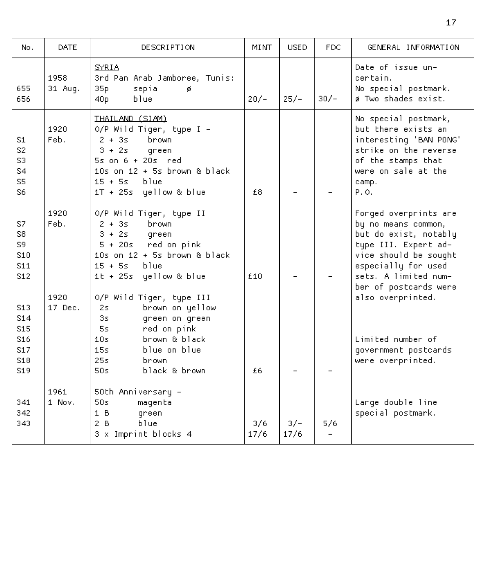| No.                                                                                                        | <b>DATE</b>     | DESCRIPTION                                                                                                                                                                                                       | MINT        | USED.         | FDC.   | GENERAL INFORMATION                                                                                                                                                                            |
|------------------------------------------------------------------------------------------------------------|-----------------|-------------------------------------------------------------------------------------------------------------------------------------------------------------------------------------------------------------------|-------------|---------------|--------|------------------------------------------------------------------------------------------------------------------------------------------------------------------------------------------------|
| 655<br>656                                                                                                 | 1958<br>31 Aug. | <b>SYRIA</b><br>3rd Pan Arab Jamboree, Tunis:<br>35p<br>sepia<br>ø<br>blue<br>40 <sub>p</sub>                                                                                                                     | $20/-$      | $25/-$        | $30/-$ | Date of issue un-<br>certain.<br>No special postmark.<br>ø Two shades exist.                                                                                                                   |
| S1<br>S2<br>S3<br>S4<br>S5<br>S6                                                                           | 1920<br>Feb.    | THAILAND (SIAM)<br>O/P Wild Tiger, type I -<br>$2 + 3s$<br>brown<br>$3 + 2s$<br>green<br>$5s$ on $6 + 20s$ red<br>$10s$ on $12 + 5s$ brown & black<br>$15 + 55$<br>blue<br>1T + 25s yellow & blue                 | £8          |               |        | No special postmark,<br>but there exists an<br>interesting 'BAN PONG'<br>strike on the reverse<br>of the stamps that<br>were on sale at the<br>camp.<br>P.O.                                   |
| S7<br>S8<br>S9<br>S <sub>10</sub><br>S <sub>11</sub><br>S <sub>12</sub>                                    | 1920<br>Feb.    | O/P Wild Tiger, type II<br>$2 + 35$<br>brown<br>$3 + 2s$<br>green<br>5 + 20s red on pink<br>$10s$ on $12 + 5s$ brown & black<br>$15 + 55$<br>blue<br>1t + 25s yellow & blue                                       | £10         |               |        | Forged overprints are<br>by no means common,<br>but do exist, notably<br>type III. Expert ad-<br>vice should be sought<br>especially for used<br>sets. A limited num-<br>ber of postcards were |
| S <sub>13</sub><br>S14<br>S <sub>15</sub><br>S <sub>16</sub><br>S <sub>17</sub><br>S <sub>18</sub><br>\$19 | 1920<br>17 Dec. | O/P Wild Tiger, type III<br>brown on yellow<br>2s.<br>3 <sub>5</sub><br>green on green<br>red on pink<br>5s.<br>brown & black<br>10 <sub>S</sub><br>15<.<br>blue on blue<br>25s<br>hrown<br>50s.<br>black & brown | £ĥ          |               |        | also overprinted.<br>Limited number of<br>government postcards<br>were overprinted.                                                                                                            |
| 341<br>342<br>343                                                                                          | 1961<br>1 Nov.  | 50th Anniversary -<br>50s<br>magenta<br>1 <sub>B</sub><br>green<br>2B<br>blue<br>3 x Imprint blocks 4                                                                                                             | 3/6<br>17/6 | $3/-$<br>17/6 | 5/6    | Large double line<br>special postmark.                                                                                                                                                         |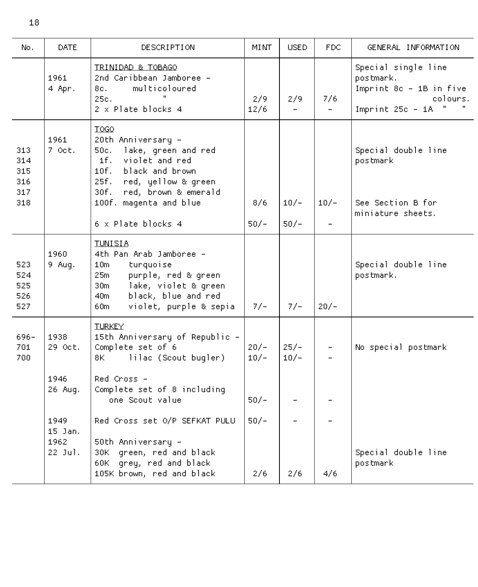| No.                                    | <b>DATE</b>                        | DESCRIPTION                                                                                                                                                                                                | <b>MINT</b>      | <b>USED</b>      | FDC.                            | GENERAL INFORMATION                                                                                         |
|----------------------------------------|------------------------------------|------------------------------------------------------------------------------------------------------------------------------------------------------------------------------------------------------------|------------------|------------------|---------------------------------|-------------------------------------------------------------------------------------------------------------|
|                                        | 1961<br>4 Apr.                     | TRINIDAD & TOBAGO<br>2nd Caribbean Jamboree -<br>multicoloured<br>8c. –<br>25c.<br>2 x Plate blocks 4                                                                                                      | 2/9<br>12/6      | 2/9              | 7/6<br>$\overline{\phantom{0}}$ | Special single line<br>postmark.<br>Imprint 8c - 1B in five<br>colours.<br>$\mathbf{H}$<br>Imprint 25c - 1A |
| 313<br>314<br>315<br>316<br>317<br>318 | 1961<br>7 Oct.                     | T0G0<br>20th Anniversary -<br>50c.<br>lake, green and red<br>violet and red<br>1f. .<br>10f.<br>black and brown<br>25f.<br>red, yellow & green<br>30f. l<br>red, brown & emerald<br>100f. magenta and blue | 8/6              | $10/-$           | $10/-$                          | Special double line<br>postmark<br>See Section B for                                                        |
|                                        |                                    | 6 x Plate blocks 4                                                                                                                                                                                         | $50/-$           | $50/-$           | $\overline{\phantom{0}}$        | miniature sheets.                                                                                           |
| 523<br>524<br>525<br>526<br>527        | 1960<br>9 Aug.                     | <b>TUNISIA</b><br>4th Pan Arab Jamboree -<br>turquoise<br>10m<br>25m<br>purple, red & green<br>lake, violet & green<br>30 <sub>m</sub><br>black, blue and red<br>40m<br>violet, purple & sepia<br>60m      | $7/-$            | $7/-$            | $20/-$                          | Special double line<br>postmark.                                                                            |
| 696-<br>701<br>700                     | 1938<br>29 Oct.                    | <b>TURKEY</b><br>15th Anniversary of Republic -<br>Complete set of 6<br>lilac (Scout bugler)<br>8K -                                                                                                       | $20/-$<br>$10/-$ | $25/-$<br>$10/-$ | $\overline{\phantom{a}}$        | No special postmark                                                                                         |
|                                        | 1946<br>26 Aug.                    | Red Cross –<br>Complete set of 8 including<br>one Scout value                                                                                                                                              | $50/-$           |                  |                                 |                                                                                                             |
|                                        | 1949<br>15 Jan.<br>1962<br>22 Jul. | Red Cross set O/P SEFKAT PULU<br>50th Anniversary -<br>30K green, red and black<br>grey, red and black<br>60K -<br>105K brown, red and black                                                               | 50/–<br>2/6      | 2/6              | 4/6                             | Special double line<br>postmark                                                                             |

18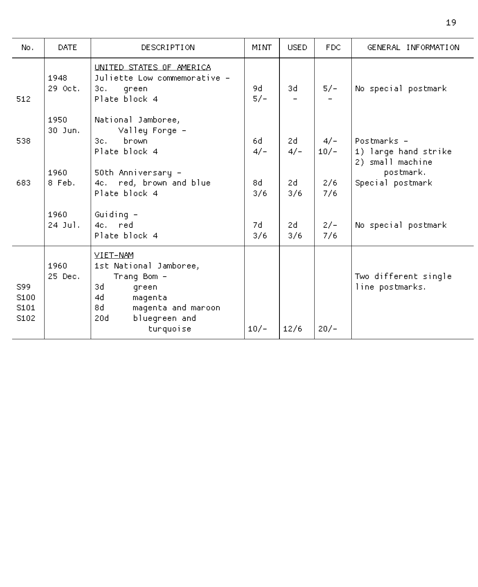| No.                         | DATE                    | DESCRIPTION                                                                                                                                        | <b>MINT</b>  | <b>USED</b> | <b>FDC</b>      | GENERAL INFORMATION                                                  |
|-----------------------------|-------------------------|----------------------------------------------------------------------------------------------------------------------------------------------------|--------------|-------------|-----------------|----------------------------------------------------------------------|
| 512                         | 1948<br>29 Oct.         | UNITED STATES OF AMERICA<br>Juliette Low commemorative -<br>3c.<br>green<br>Plate block 4                                                          | 9d.<br>$5/-$ | 3d          | $5/-$           | No special postmark                                                  |
| 538                         | 1950<br>30 Jun.<br>1960 | National Jamboree,<br>Valley Forge -<br>brown<br>3c.<br>Plate block 4<br>50th Anniversary –                                                        | 6d<br>$4/-$  | 2d<br>$4/-$ | $4/-$<br>$10/-$ | Postmarks -<br>1) large hand strike<br>2) small machine<br>postmark. |
| 683                         | 8 Feb.                  | 4c. red, brown and blue<br>Plate block 4                                                                                                           | 8d<br>3/6    | 2d<br>3/6   | 2/6<br>7/6      | Special postmark                                                     |
|                             | 1960<br>$24$ Jul.       | Guiding -<br>4c. red<br>Plate block 4                                                                                                              | 7d.<br>3/6   | 2d<br>3/6   | $2/-$<br>7/6    | No special postmark                                                  |
| S99<br>S100<br>S101<br>S102 | 1960<br>25 Dec.         | VIET-NAM<br>1st National Jamboree,<br>Trang Bom -<br>3d<br>green<br>4d<br>magenta<br>8d<br>magenta and maroon<br>20d<br>bluegreen and<br>turquoise | $10/-$       | 12/6        | $20/-$          | Two different single<br>line postmarks.                              |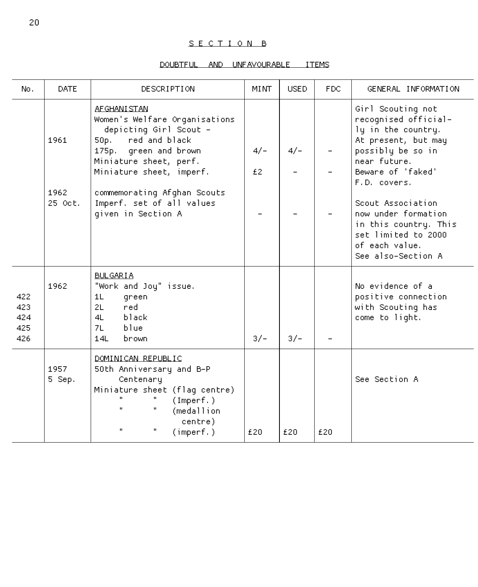# S E C T I O N B

# DOUBTFUL AND UNFAVOURABLE ITEMS

| No.                             | DATE.                   | <b>DESCRIPTION</b>                                                                                                                                                                                                                                                 | <b>MINT</b> | <b>USED</b> | FDC. | GENERAL INFORMATION                                                                                                                                                                                                                                                                                  |
|---------------------------------|-------------------------|--------------------------------------------------------------------------------------------------------------------------------------------------------------------------------------------------------------------------------------------------------------------|-------------|-------------|------|------------------------------------------------------------------------------------------------------------------------------------------------------------------------------------------------------------------------------------------------------------------------------------------------------|
|                                 | 1961<br>1962<br>25 Oct. | AF GHANT STAN<br>Women's Welfare Organisations<br>depicting Girl Scout -<br>red and black<br>50p.<br>175p. green and brown<br>Miniature sheet, perf.<br>Miniature sheet, imperf.<br>commemorating Afghan Scouts<br>Imperf. set of all values<br>given in Section A | $4/-$<br>£2 | $4/-$       |      | Girl Scouting not<br>recognised official-<br>ly in the country.<br>At present, but may<br>possibly be so in<br>near future.<br>Beware of 'faked'<br>F.D. covers.<br>Scout Association<br>now under formation<br>in this country. This<br>set limited to 2000<br>of each value.<br>See also-Section A |
| 422<br>423<br>424<br>425<br>426 | 1962                    | <b>BULGARIA</b><br>"Work and Joy" issue.<br>green<br>1L<br>red.<br>2L<br>black<br>4L - 1<br>hlue<br>71.<br>141<br>hnown                                                                                                                                            | $3/-$       | $3/-$       |      | No evidence of a<br>positive connection<br>with Scouting has<br>come to light.                                                                                                                                                                                                                       |
|                                 | 1957<br>5 Sep.          | DOMINICAN REPUBLIC<br>50th Anniversary and B-P<br>Centenary<br>Miniature sheet (flaq centre)<br>(Imperf.)<br>$\mathbf{u}$<br>(medallion<br>centre)<br>$\mathbf{u}$<br>(inner f.)                                                                                   | £20         | £20         | £20  | See Section A                                                                                                                                                                                                                                                                                        |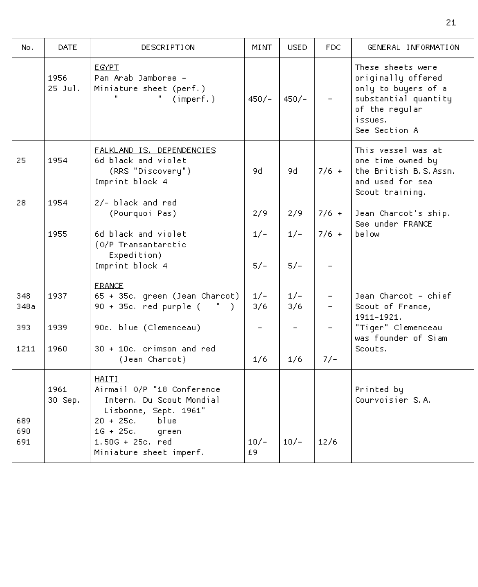| No.               | <b>DATE</b>       | DESCRIPTION                                                                                                                                                                           | MINT.        | USED.        | FDC.                     | GENERAL INFORMATION                                                                                                                  |
|-------------------|-------------------|---------------------------------------------------------------------------------------------------------------------------------------------------------------------------------------|--------------|--------------|--------------------------|--------------------------------------------------------------------------------------------------------------------------------------|
|                   | 1956<br>$25$ Jul. | <b>EGYPT</b><br>Pan Arab Jamboree -<br>Miniature sheet (perf.)<br>(inner f.)                                                                                                          | $450/-$      | $450/-$      |                          | These sheets were<br>originally offered<br>only to buyers of a<br>substantial quantity<br>of the regular<br>issues.<br>See Section A |
| 25.               | 1954              | FALKLAND IS, DEPENDENCIES<br>6d black and violet.<br>(RRS "Discovery")<br>Imprint block 4                                                                                             | 9d.          | 9d           | $7/6 +$                  | This vessel was at<br>one time owned by<br>the British B.S.Assn.<br>and used for sea<br>Scout training.                              |
| 28                | 1954              | 2/- black and red<br>(Pourquoi Pas)                                                                                                                                                   | 2/9          | 2/9          | $7/6 +$                  | Jean Charcot's ship.                                                                                                                 |
|                   | 1955              | 6d black and violet.<br>(O/P Transantarctic<br>Expedition)                                                                                                                            | $1/-$        | $1/-$        | $7/6$ +                  | See under FRANCE<br>below                                                                                                            |
|                   |                   | Imprint block 4                                                                                                                                                                       | $5/-$        | $5/-$        |                          |                                                                                                                                      |
| 348<br>348a       | 1937              | <b>FRANCE</b><br>65 + 35c. green (Jean Charcot).<br>90 + 35c. red purple (<br>- 11                                                                                                    | $1/-$<br>3/6 | $1/-$<br>3/6 | $\overline{\phantom{0}}$ | Jean Charcot – chief<br>Scout of France,<br>1911-1921.                                                                               |
| 393<br>1211       | 1939<br>1960      | 90c. blue (Clemenceau)<br>30 + 10c. crimson and red<br>(Jean Charcot)                                                                                                                 | 1/6          | 1/6          | $7/-$                    | "Tiger" Clemenceau<br>was founder of Siam<br>Scouts.                                                                                 |
| 689<br>690<br>691 | 1961<br>30 Sep.   | HAITI<br>Airmail O/P "18 Conference<br>Intern, Du Scout Mondial<br>Lisbonne, Sept. 1961"<br>20 + 25c. blue<br>$1G + 25c$ ,<br>green<br>$1.50G + 25c$ , red<br>Miniature sheet imperf. | $10/-$<br>£9 | $10/-$       | 12/6                     | Printed by<br>Courvoisier S.A.                                                                                                       |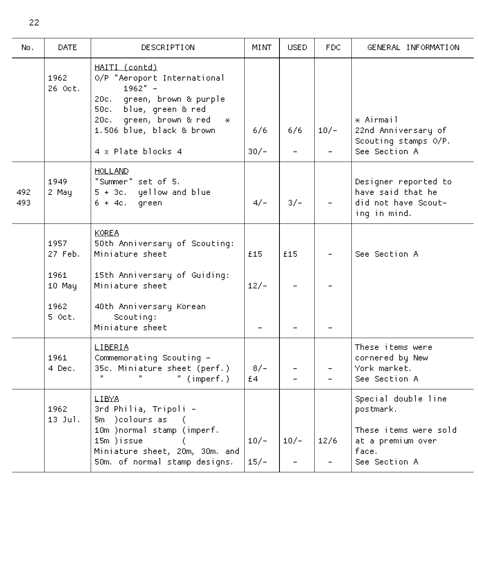| No.        | <b>DATE</b>                       | DESCRIPTION                                                                                                                                                                                                  | MI NT-           | <b>USED</b> | FDC.   | GENERAL INFORMATION                                                                                      |
|------------|-----------------------------------|--------------------------------------------------------------------------------------------------------------------------------------------------------------------------------------------------------------|------------------|-------------|--------|----------------------------------------------------------------------------------------------------------|
|            | 1962<br>26 Oct.                   | HAITI (contd)<br>O/P "Aeroport International<br>$1962" -$<br>20c. green, brown & purple<br>blue, green & red<br>50c.<br>green, brown & red<br>20c.<br>$*$<br>1.506 blue, black & brown<br>4 x Plate blocks 4 | 6/6<br>$30/-$    | 6/6         | $10/-$ | * Airmail<br>22nd Anniversary of<br>Scouting stamps O/P.<br>See Section A.                               |
| 492<br>493 | 1949<br>2 May                     | <b>HOLLAND</b><br>"Summer" set of 5.<br>5 + 3c. yellow and blue<br>$6 + 4c.$<br>green                                                                                                                        | $4/-$            | $3/-$       |        | Designer reported to<br>have said that he<br>did not have Scout-<br>ing in mind.                         |
|            | 1957<br>27 Feb.<br>1961<br>10 May | <b>KOREA</b><br>50th Anniversary of Scouting:<br>Miniature sheet<br>15th Anniversary of Guiding:<br>Miniature sheet                                                                                          | £15<br>$12/-$    | £15         |        | See Section A                                                                                            |
|            | 1962<br>5 Oct.                    | 40th Anniversary Korean<br>Scouting:<br>Miniature sheet                                                                                                                                                      |                  |             |        |                                                                                                          |
|            | 1961.<br>4 Dec.                   | LIBERIA<br>Commemorating Scouting -<br>35c. Miniature sheet (perf.)<br>$\mathbf{u}$<br>" $(inner)$                                                                                                           | $8/-$<br>£4      |             |        | These items were<br>cornered by New<br>York market.<br>See Section A                                     |
|            | 1962<br>$13$ $Jul.$               | LIBYA<br>3rd Philia, Tripoli -<br>5m )colours as<br>ť.<br>10m )normal stamp (imperf.<br>15m )issue<br>Miniature sheet, 20m, 30m. and<br>50m, of normal stamp designs.                                        | $10/-$<br>$15/-$ | $10/-$      | 12/6   | Special double line<br>postmark.<br>These items were sold<br>at a premium over<br>face.<br>See Section A |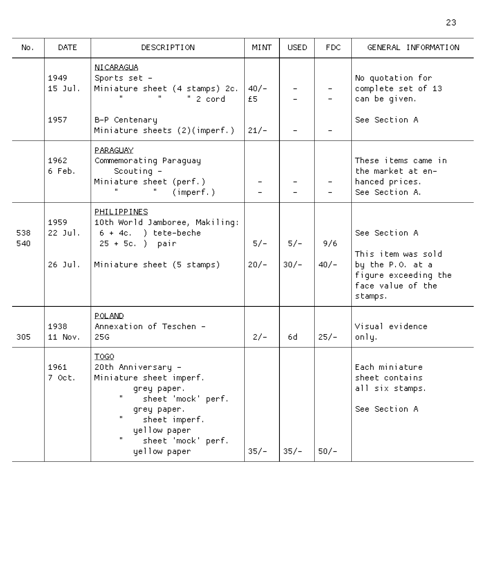| No.        | DATE.                        | DESCRIPTION                                                                                                                                                                            | MINT            | <b>USED</b>     | FDC.          | GENERAL INFORMATION                                                                                             |
|------------|------------------------------|----------------------------------------------------------------------------------------------------------------------------------------------------------------------------------------|-----------------|-----------------|---------------|-----------------------------------------------------------------------------------------------------------------|
|            | 1949<br>$15$ Jul.<br>1957    | NI CARAGUA<br>Sports set -<br>Miniature sheet (4 stamps) 2c.<br>" 2 cord<br>B-P Centenary                                                                                              | $40/-$<br>£5.   |                 |               | No quotation for<br>complete set of 13<br>can be given.<br>See Section A                                        |
|            |                              | Miniature sheets (2)(imperf.)                                                                                                                                                          | $21/-$          |                 |               |                                                                                                                 |
|            | 1962<br>6 Feb.               | PARAGUAY<br>Commemorating Paraguay<br>Scouting -<br>Miniature sheet (perf.)<br>(inner f.)                                                                                              |                 |                 |               | These items came in<br>the market at en-<br>hanced prices.<br>See Section A.                                    |
| 538<br>540 | 1959<br>$22$ Jul.<br>26 Jul. | PHILIPPINES<br>10th World Jamboree, Makiling:<br>$6 + 4c$ . ) tete-beche<br>$25 + 5c.$ ) pair<br>Miniature sheet (5 stamps)                                                            | $5/-$<br>$20/-$ | $5/-$<br>$30/-$ | 9/6<br>$40/-$ | See Section A<br>This item was sold<br>by the P.O. at a<br>figure exceeding the<br>face value of the<br>stamps. |
| 305        | 1938<br>11 Nov.              | POLAND.<br>Annexation of Teschen -<br>25G                                                                                                                                              | $2/-$           | 6d              | $25/-$        | Visual evidence<br>only.                                                                                        |
|            | 1961<br>7 Oct.               | T0G0<br>20th Anniversary -<br>Miniature sheet imperf.<br>grey paper.<br>H.<br>sheet 'mock' perf.<br>grey paper.<br>sheet imperf.<br>yellow paper<br>sheet 'mock' perf.<br>yellow paper | $35/-$          | $35/-$          | $50/-$        | Each miniature<br>sheet contains<br>all six stamps.<br>See Section A                                            |